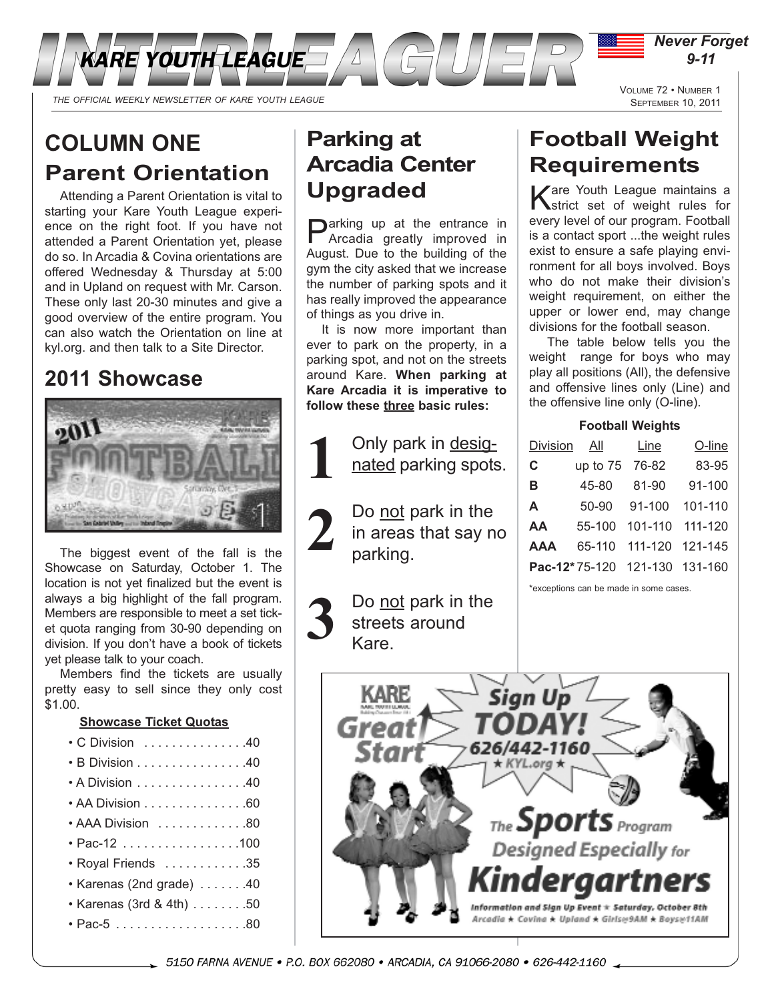

# **COLUMN ONE Parent Orientation**

Attending a Parent Orientation is vital to starting your Kare Youth League experience on the right foot. If you have not attended a Parent Orientation yet, please do so. In Arcadia & Covina orientations are offered Wednesday & Thursday at 5:00 and in Upland on request with Mr. Carson. These only last 20-30 minutes and give a good overview of the entire program. You can also watch the Orientation on line at kyl.org. and then talk to a Site Director.

# **2011 Showcase**



The biggest event of the fall is the Showcase on Saturday, October 1. The location is not yet finalized but the event is always a big highlight of the fall program. Members are responsible to meet a set ticket quota ranging from 30-90 depending on division. If you don't have a book of tickets yet please talk to your coach.

Members find the tickets are usually pretty easy to sell since they only cost \$1.00.

## **Showcase Ticket Quotas**

- C Division . . . . . . . . . . . . . . .40
- B Division . . . . . . . . . . . . . . . .40
- A Division . . . . . . . . . . . . . . . .40
- AA Division . . . . . . . . . . . . . . . 60
- $\cdot$  AAA Division  $\dots \dots \dots \dots 80$
- Pac-12 . . . . . . . . . . . . . . . . .100
- Royal Friends . . . . . . . . . . . .35
- Karenas (2nd grade) . . . . . . .40
- Karenas (3rd & 4th) . . . . . . . .50
- Pac-5 . . . . . . . . . . . . . . . . . . .80

## **Parking at Arcadia Center Upgraded**

**Darking up at the entrance in** Arcadia greatly improved in August. Due to the building of the gym the city asked that we increase the number of parking spots and it has really improved the appearance of things as you drive in.

It is now more important than ever to park on the property, in a parking spot, and not on the streets around Kare. **When parking at Kare Arcadia it is imperative to follow these three basic rules:**

> Only park in designated parking spots.

**1**

Do not park in the in areas that say no parking. **2**

Do not park in the streets around Kare. **3**

# **Football Weight Requirements**

Kare Youth League maintains a<br>Ketrict set of weight rules for every level of our program. Football is a contact sport ...the weight rules exist to ensure a safe playing environment for all boys involved. Boys who do not make their division's weight requirement, on either the upper or lower end, may change divisions for the football season.

The table below tells you the weight range for boys who may play all positions (All), the defensive and offensive lines only (Line) and the offensive line only (O-line).

## **Football Weights**

| Division   | All        | Line                          | O-line  |
|------------|------------|-------------------------------|---------|
| C          | up to 75   | 76-82                         | 83-95   |
| в          | 45-80      | 81-90                         | 91-100  |
| A          | 50-90      | 91-100                        | 101-110 |
| AA         | $55 - 100$ | 101-110                       | 111-120 |
| <b>AAA</b> | 65-110     | 111-120                       | 121-145 |
|            |            | Pac-12*75-120 121-130 131-160 |         |

\*exceptions can be made in some cases.